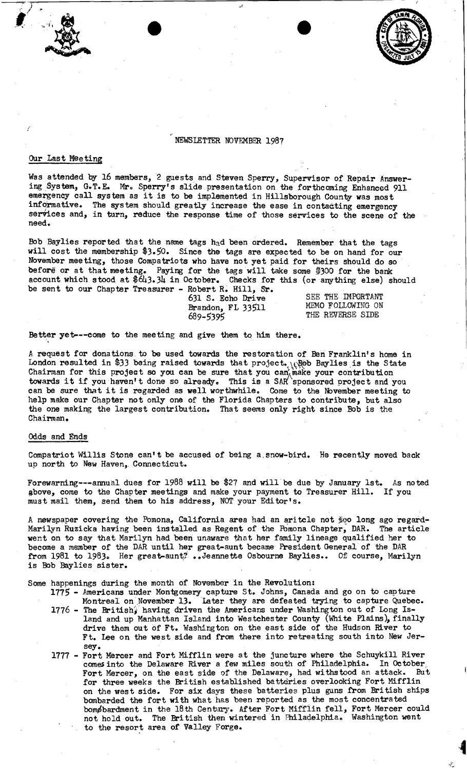

# NEWSLETTER NOVEMBER 1987

### Our Last Meeting

Was attended by 16 members, 2 guests and Steven Sperry, Supervisor of Repair Answering System, G.T.E. Mr. Sperry's slide presentation on the forthcoming Enhanced 911 emergency call system as it is to be implemented in Hillsborough County was most informative. The system should greatly increase the ease in contacting emergency services and, in turn, reduce the response time of those services to the scene of the need.

Bob Baylies reported that the name tags  $h_a d$  been ordered. Remember that the tags will cost the membership \$3.50. Since the tags are expected to be on hand for our November meeting, those Compatriots who have not yet paid for theirs should do so before or at that meeting. Paying for the tags will take some \$300 for the bank account which stood at \$643.34 in October. Checks for this (or anything else) should be sent to our Chapter Treasurer - Robert R. Hill, Sr.

631 S. Echo Drive SEE THE IMPORTANT<br>Brandon FL 33511 MEMO FOLLOWING ON Brandon, FL 33511<br>689-5395

THE REVERSE SIDE

Better yet---come to the meeting and give them to him there.

"

A request for donations to be used towards the restoration of Ben Franklin's home in London resulted in \$33 being raised towards that project. W@b Baylies is the State Chairman for this project so you can be sure that you can make your contribution towards it if you haven't done so already. This is a SAR sponsored project and you can be sure that it is regarded as well worthwhile. Come to the November meeting to help make our Chapter not only one of the Florida Chapters to contribute, but also the one making the largest contribution. That seems only right since Bob is the Chairman.

## Odds and Ends

Compatriot Willis Stone can't be accused of being a, snow-bird. He recently moved back up north to New Haven, Connecticut.

Forewarming---annual dues for 1988 will be \$27 and will be due by January 1st. As noted above, come to the Chapter meetings and make your payment to Treasurer Hill. If you must mail them, send them to his address, NOT your Editor's.

A newspaper covering the Pomona, California area had an aritcle not  $\frac{1}{2}$ Qo long ago regard-Marilyn Ruzicka having been installed as Regent of the Pomona Chapter, DAR. The article went on to say that Marilyn had been unaware that her family lineage qualified her to become a member of the DAR until her great-aunt became President General of the DAR from 1981 to 1983. Her great-aunt?..Jeannette Osbourne Baylies.. Of course, Marilyn is Bob Baylies sister.

Some happenings during the month of November in the Revolution:

1775 - Americans under Montgomery capture St.. Johns, Canada and go on to capture Montreal on November 13. Later they are defeated trying to capture Quebec. 1776 - The British, having driven the Americans under Washington out of Long Island and up Manhattan Island into Westchester County (White Plains), finally

- drive them out of Ft. Washington on the east side of the Hudson River to Ft. lee on the west side and from there into retreating south into New Jersey.
- 1777 Fort Mercer and Fort Mifflin were at the juncture where the Schuykill River comes into the Delaware River a few miles south of Philadelphia. In October, Fort Mercer, on the east side of the Delaware, had withstood an attack. But Fort Mercer, on the east side of the Delaware, had withstood an attack. But for three weeks the British established batteries overlooking Fort Mifflin on the west side. For six days these batteries plus guns from British ships bombarded the fort with what has been reported as the most concentra ted bomøbardment in the 18th Century. After Fort Mifflin fell, Fort Mercer could not hold out. The British then wintered in Philadelphia. Washington went to the resort area of Valley Forge.